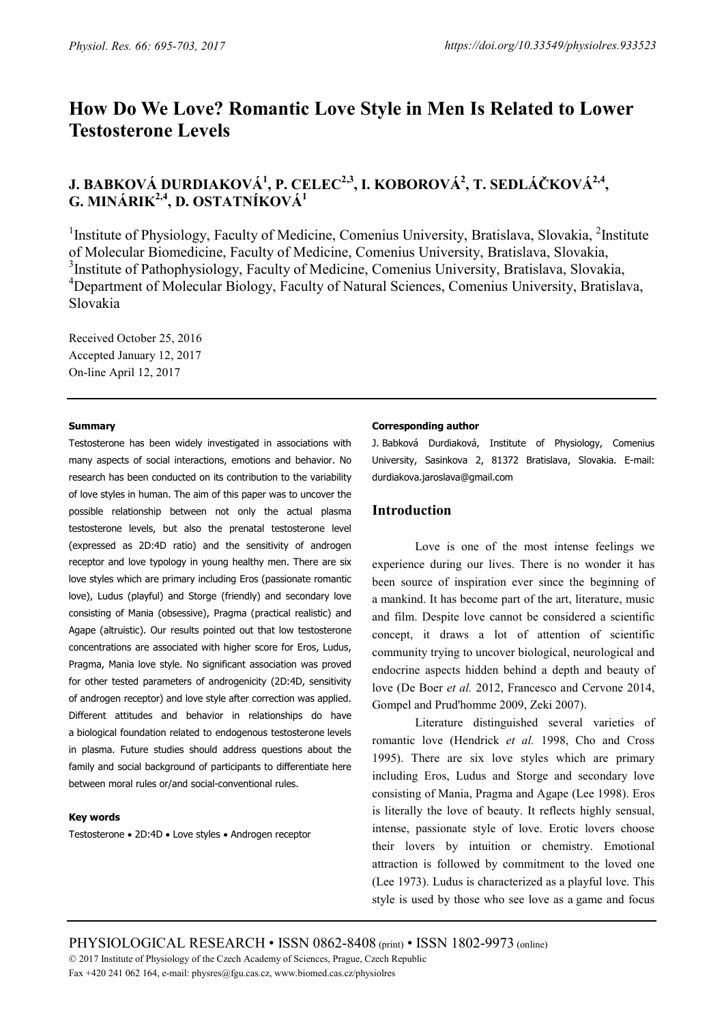# **How Do We Love? Romantic Love Style in Men Is Related to Lower Testosterone Levels**

# **J. BABKOVÁ DURDIAKOVÁ1 , P. CELEC2,3, I. KOBOROVÁ2 , T. SEDLÁČKOVÁ2,4, G. MINÁRIK2,4, D. OSTATNÍKOVÁ1**

<sup>1</sup>Institute of Physiology, Faculty of Medicine, Comenius University, Bratislava, Slovakia, <sup>2</sup>Institute of Molecular Biomedicine, Faculty of Medicine, Comenius University, Bratislava, Slovakia, <sup>3</sup>Institute of Pathophysiology, Faculty of Medicine, Comenius University, Bratislava, Slovakia, <sup>4</sup>Department of Molecular Biology, Faculty of Natural Sciences, Comenius University, Bratislava, Slovakia

Received October 25, 2016 Accepted January 12, 2017 On-line April 12, 2017

### **Summary**

Testosterone has been widely investigated in associations with many aspects of social interactions, emotions and behavior. No research has been conducted on its contribution to the variability of love styles in human. The aim of this paper was to uncover the possible relationship between not only the actual plasma testosterone levels, but also the prenatal testosterone level (expressed as 2D:4D ratio) and the sensitivity of androgen receptor and love typology in young healthy men. There are six love styles which are primary including Eros (passionate romantic love), Ludus (playful) and Storge (friendly) and secondary love consisting of Mania (obsessive), Pragma (practical realistic) and Agape (altruistic). Our results pointed out that low testosterone concentrations are associated with higher score for Eros, Ludus, Pragma, Mania love style. No significant association was proved for other tested parameters of androgenicity (2D:4D, sensitivity of androgen receptor) and love style after correction was applied. Different attitudes and behavior in relationships do have a biological foundation related to endogenous testosterone levels in plasma. Future studies should address questions about the family and social background of participants to differentiate here between moral rules or/and social-conventional rules.

#### **Key words**

Testosterone • 2D:4D • Love styles • Androgen receptor

### **Corresponding author**

J. Babková Durdiaková, Institute of Physiology, Comenius University, Sasinkova 2, 81372 Bratislava, Slovakia. E-mail: durdiakova.jaroslava@gmail.com

# **Introduction**

Love is one of the most intense feelings we experience during our lives. There is no wonder it has been source of inspiration ever since the beginning of a mankind. It has become part of the art, literature, music and film. Despite love cannot be considered a scientific concept, it draws a lot of attention of scientific community trying to uncover biological, neurological and endocrine aspects hidden behind a depth and beauty of love (De Boer *et al.* 2012, Francesco and Cervone 2014, Gompel and Prud'homme 2009, Zeki 2007).

Literature distinguished several varieties of romantic love (Hendrick *et al.* 1998, Cho and Cross 1995). There are six love styles which are primary including Eros, Ludus and Storge and secondary love consisting of Mania, Pragma and Agape (Lee 1998). Eros is literally the love of beauty. It reflects highly sensual, intense, passionate style of love. Erotic lovers choose their lovers by intuition or chemistry. Emotional attraction is followed by commitment to the loved one (Lee 1973). Ludus is characterized as a playful love. This style is used by those who see love as a game and focus

PHYSIOLOGICAL RESEARCH • ISSN 0862-8408 (print) • ISSN 1802-9973 (online)

2017 Institute of Physiology of the Czech Academy of Sciences, Prague, Czech Republic

Fax +420 241 062 164, e-mail: physres@fgu.cas.cz, www.biomed.cas.cz/physiolres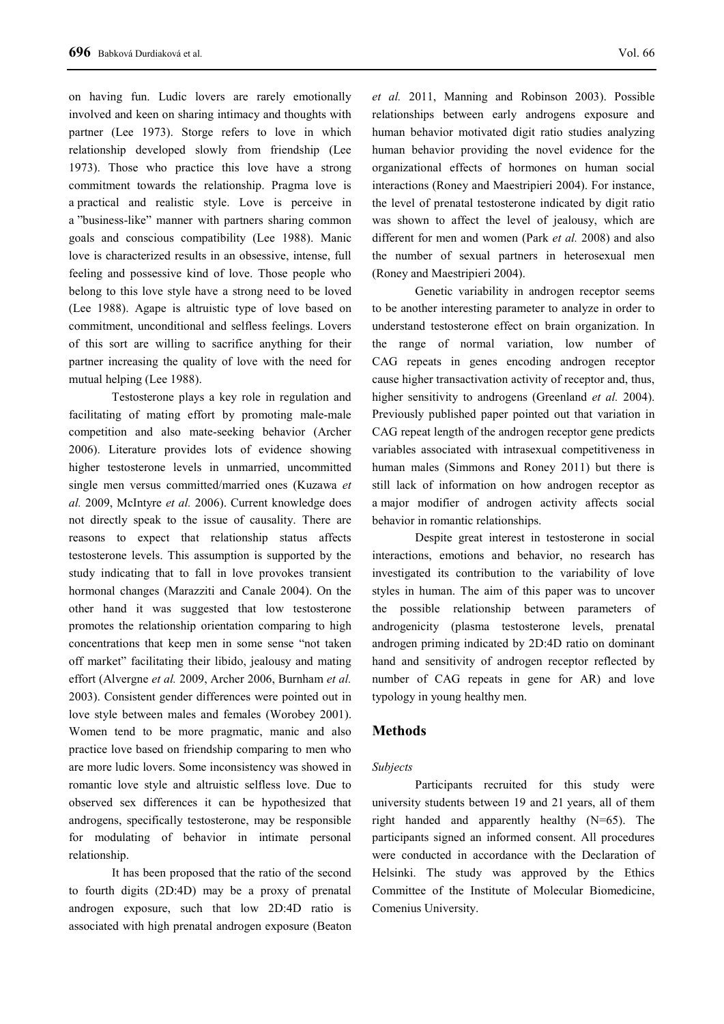on having fun. Ludic lovers are rarely emotionally involved and keen on sharing intimacy and thoughts with partner (Lee 1973). Storge refers to love in which relationship developed slowly from friendship (Lee 1973). Those who practice this love have a strong commitment towards the relationship. Pragma love is a practical and realistic style. Love is perceive in a "business-like" manner with partners sharing common goals and conscious compatibility (Lee 1988). Manic love is characterized results in an obsessive, intense, full feeling and possessive kind of love. Those people who belong to this love style have a strong need to be loved (Lee 1988). Agape is altruistic type of love based on commitment, unconditional and selfless feelings. Lovers of this sort are willing to sacrifice anything for their partner increasing the quality of love with the need for mutual helping (Lee 1988).

Testosterone plays a key role in regulation and facilitating of mating effort by promoting male-male competition and also mate-seeking behavior (Archer 2006). Literature provides lots of evidence showing higher testosterone levels in unmarried, uncommitted single men versus committed/married ones (Kuzawa *et al.* 2009, McIntyre *et al.* 2006). Current knowledge does not directly speak to the issue of causality. There are reasons to expect that relationship status affects testosterone levels. This assumption is supported by the study indicating that to fall in love provokes transient hormonal changes (Marazziti and Canale 2004). On the other hand it was suggested that low testosterone promotes the relationship orientation comparing to high concentrations that keep men in some sense "not taken off market" facilitating their libido, jealousy and mating effort (Alvergne *et al.* 2009, Archer 2006, Burnham *et al.* 2003). Consistent gender differences were pointed out in love style between males and females (Worobey 2001). Women tend to be more pragmatic, manic and also practice love based on friendship comparing to men who are more ludic lovers. Some inconsistency was showed in romantic love style and altruistic selfless love. Due to observed sex differences it can be hypothesized that androgens, specifically testosterone, may be responsible for modulating of behavior in intimate personal relationship.

It has been proposed that the ratio of the second to fourth digits (2D:4D) may be a proxy of prenatal androgen exposure, such that low 2D:4D ratio is associated with high prenatal androgen exposure (Beaton

*et al.* 2011, Manning and Robinson 2003). Possible relationships between early androgens exposure and human behavior motivated digit ratio studies analyzing human behavior providing the novel evidence for the organizational effects of hormones on human social interactions (Roney and Maestripieri 2004). For instance, the level of prenatal testosterone indicated by digit ratio was shown to affect the level of jealousy, which are different for men and women (Park *et al.* 2008) and also the number of sexual partners in heterosexual men (Roney and Maestripieri 2004).

Genetic variability in androgen receptor seems to be another interesting parameter to analyze in order to understand testosterone effect on brain organization. In the range of normal variation, low number of CAG repeats in genes encoding androgen receptor cause higher transactivation activity of receptor and, thus, higher sensitivity to androgens (Greenland *et al.* 2004). Previously published paper pointed out that variation in CAG repeat length of the androgen receptor gene predicts variables associated with intrasexual competitiveness in human males (Simmons and Roney 2011) but there is still lack of information on how androgen receptor as a major modifier of androgen activity affects social behavior in romantic relationships.

Despite great interest in testosterone in social interactions, emotions and behavior, no research has investigated its contribution to the variability of love styles in human. The aim of this paper was to uncover the possible relationship between parameters of androgenicity (plasma testosterone levels, prenatal androgen priming indicated by 2D:4D ratio on dominant hand and sensitivity of androgen receptor reflected by number of CAG repeats in gene for AR) and love typology in young healthy men.

## **Methods**

#### *Subjects*

Participants recruited for this study were university students between 19 and 21 years, all of them right handed and apparently healthy (N=65). The participants signed an informed consent. All procedures were conducted in accordance with the Declaration of Helsinki. The study was approved by the Ethics Committee of the Institute of Molecular Biomedicine, Comenius University.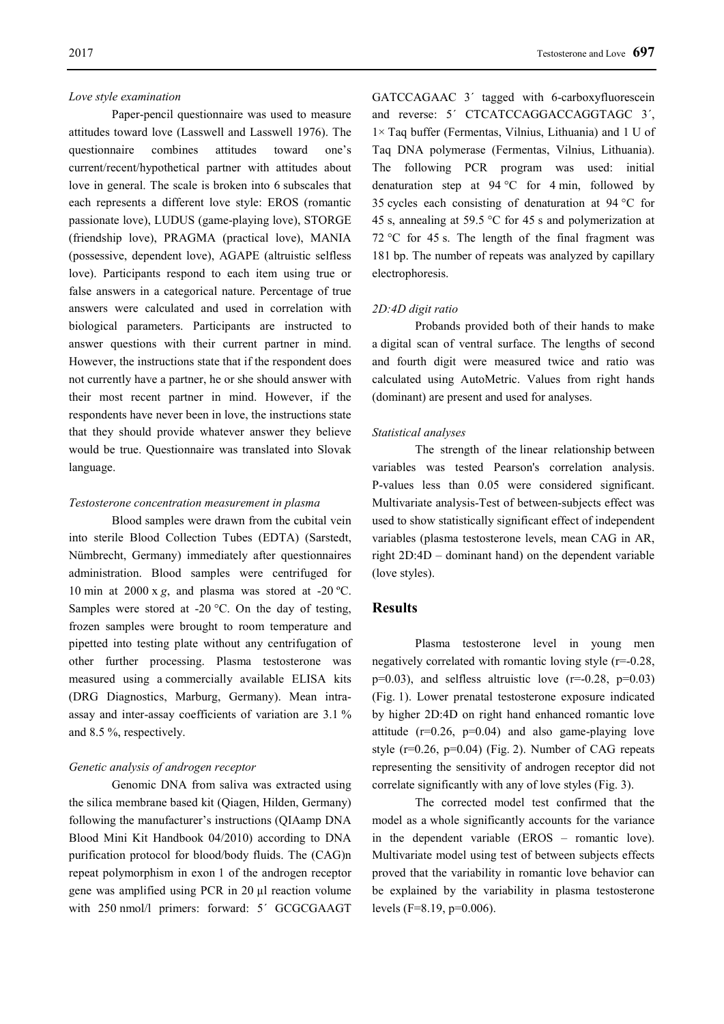#### *Love style examination*

Paper-pencil questionnaire was used to measure attitudes toward love (Lasswell and Lasswell 1976). The questionnaire combines attitudes toward one's current/recent/hypothetical partner with attitudes about love in general. The scale is broken into 6 subscales that each represents a different love style: EROS (romantic passionate love), LUDUS (game-playing love), STORGE (friendship love), PRAGMA (practical love), MANIA (possessive, dependent love), AGAPE (altruistic selfless love). Participants respond to each item using true or false answers in a categorical nature. Percentage of true answers were calculated and used in correlation with biological parameters. Participants are instructed to answer questions with their current partner in mind. However, the instructions state that if the respondent does not currently have a partner, he or she should answer with their most recent partner in mind. However, if the respondents have never been in love, the instructions state that they should provide whatever answer they believe would be true. Questionnaire was translated into Slovak language.

## *Testosterone concentration measurement in plasma*

Blood samples were drawn from the cubital vein into sterile Blood Collection Tubes (EDTA) (Sarstedt, Nümbrecht, Germany) immediately after questionnaires administration. Blood samples were centrifuged for 10 min at  $2000 \times g$ , and plasma was stored at -20 °C. Samples were stored at -20 °C. On the day of testing, frozen samples were brought to room temperature and pipetted into testing plate without any centrifugation of other further processing. Plasma testosterone was measured using a commercially available ELISA kits (DRG Diagnostics, Marburg, Germany). Mean intraassay and inter-assay coefficients of variation are 3.1 % and 8.5 %, respectively.

## *Genetic analysis of androgen receptor*

Genomic DNA from saliva was extracted using the silica membrane based kit (Qiagen, Hilden, Germany) following the manufacturer's instructions (QIAamp DNA Blood Mini Kit Handbook 04/2010) according to DNA purification protocol for blood/body fluids. The (CAG)n repeat polymorphism in exon 1 of the androgen receptor gene was amplified using PCR in 20 µl reaction volume with 250 nmol/l primers: forward: 5´ GCGCGAAGT GATCCAGAAC 3´ tagged with 6-carboxyfluorescein and reverse: 5´ CTCATCCAGGACCAGGTAGC 3´, 1× Taq buffer (Fermentas, Vilnius, Lithuania) and 1 U of Taq DNA polymerase (Fermentas, Vilnius, Lithuania). The following PCR program was used: initial denaturation step at 94 °C for 4 min, followed by 35 cycles each consisting of denaturation at 94 °C for 45 s, annealing at 59.5 °C for 45 s and polymerization at 72 °C for 45 s. The length of the final fragment was 181 bp. The number of repeats was analyzed by capillary electrophoresis.

#### *2D:4D digit ratio*

Probands provided both of their hands to make a digital scan of ventral surface. The lengths of second and fourth digit were measured twice and ratio was calculated using AutoMetric. Values from right hands (dominant) are present and used for analyses.

#### *Statistical analyses*

The strength of the linear relationship between variables was tested Pearson's correlation analysis. P-values less than 0.05 were considered significant. Multivariate analysis-Test of between-subjects effect was used to show statistically significant effect of independent variables (plasma testosterone levels, mean CAG in AR, right 2D:4D – dominant hand) on the dependent variable (love styles).

# **Results**

Plasma testosterone level in young men negatively correlated with romantic loving style (r=-0.28,  $p=0.03$ ), and selfless altruistic love ( $r=-0.28$ ,  $p=0.03$ ) (Fig. 1). Lower prenatal testosterone exposure indicated by higher 2D:4D on right hand enhanced romantic love attitude  $(r=0.26, p=0.04)$  and also game-playing love style  $(r=0.26, p=0.04)$  (Fig. 2). Number of CAG repeats representing the sensitivity of androgen receptor did not correlate significantly with any of love styles (Fig. 3).

The corrected model test confirmed that the model as a whole significantly accounts for the variance in the dependent variable (EROS – romantic love). Multivariate model using test of between subjects effects proved that the variability in romantic love behavior can be explained by the variability in plasma testosterone levels (F=8.19, p=0.006).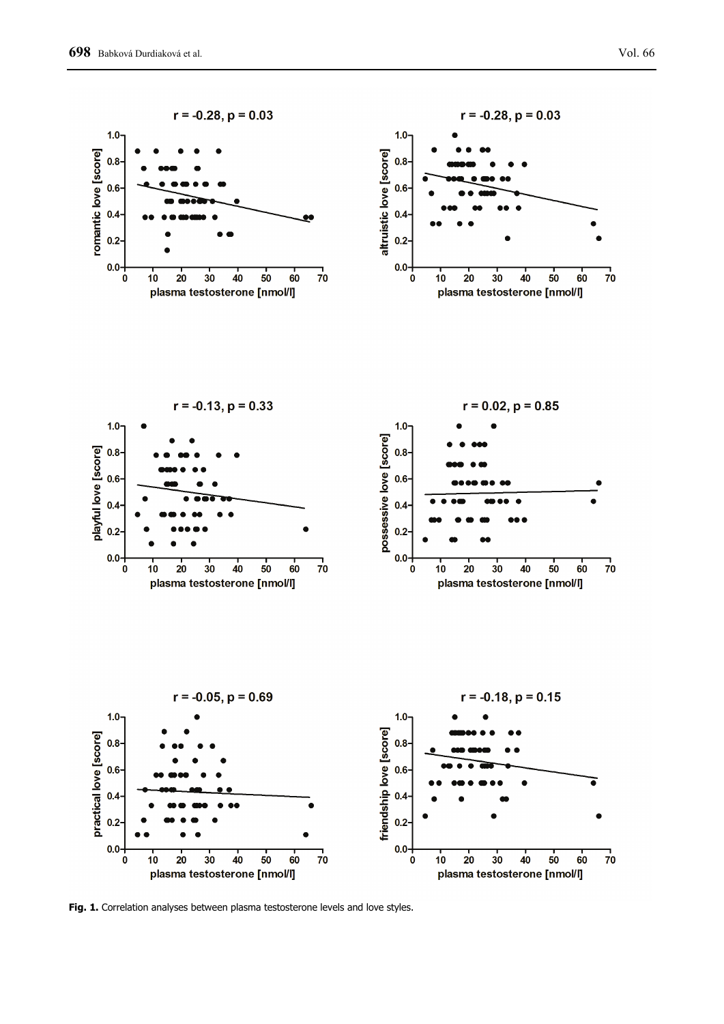

**Fig. 1.** Correlation analyses between plasma testosterone levels and love styles.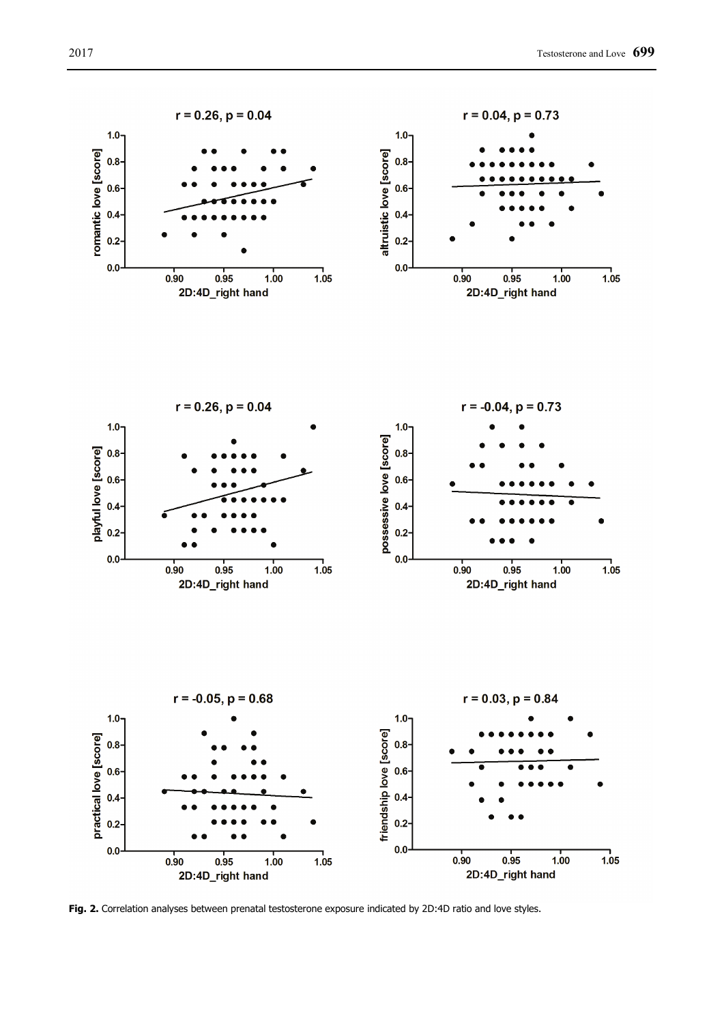

**Fig. 2.** Correlation analyses between prenatal testosterone exposure indicated by 2D:4D ratio and love styles.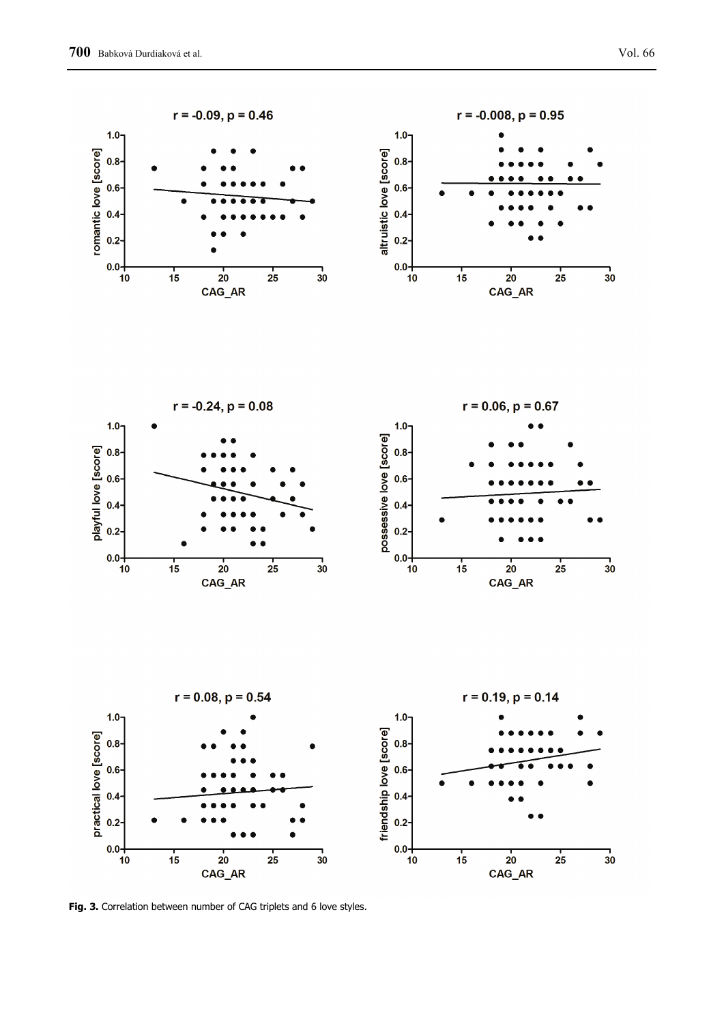

**Fig. 3.** Correlation between number of CAG triplets and 6 love styles.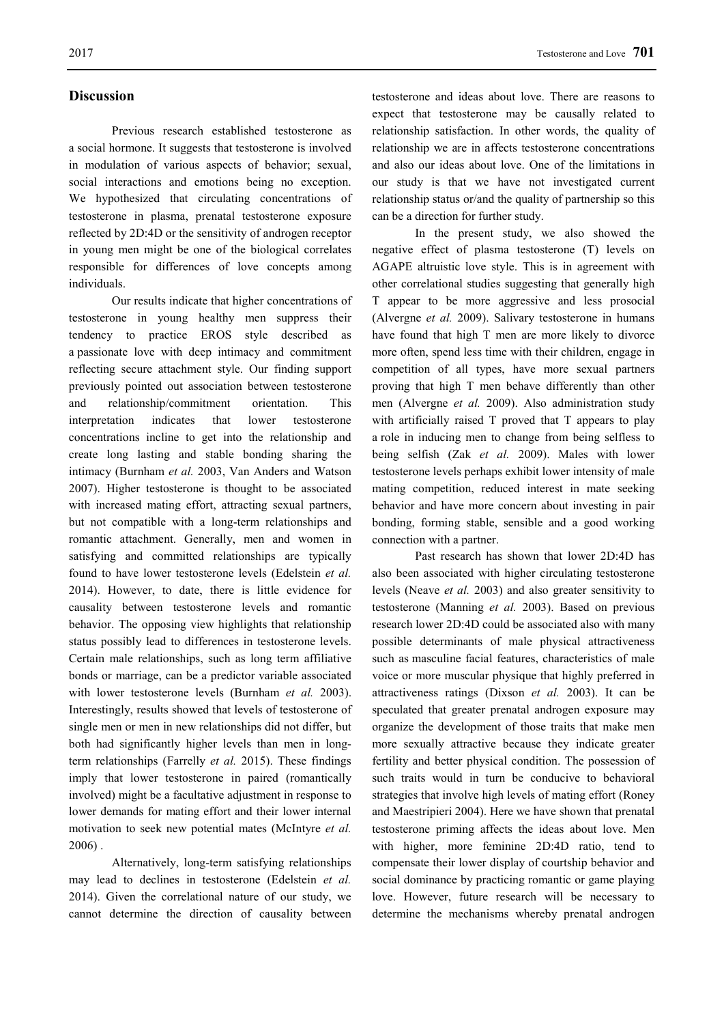### **Discussion**

Previous research established testosterone as a social hormone. It suggests that testosterone is involved in modulation of various aspects of behavior; sexual, social interactions and emotions being no exception. We hypothesized that circulating concentrations of testosterone in plasma, prenatal testosterone exposure reflected by 2D:4D or the sensitivity of androgen receptor in young men might be one of the biological correlates responsible for differences of love concepts among individuals.

Our results indicate that higher concentrations of testosterone in young healthy men suppress their tendency to practice EROS style described as a passionate love with deep intimacy and commitment reflecting secure attachment style. Our finding support previously pointed out association between testosterone and relationship/commitment orientation. This interpretation indicates that lower testosterone concentrations incline to get into the relationship and create long lasting and stable bonding sharing the intimacy (Burnham *et al.* 2003, Van Anders and Watson 2007). Higher testosterone is thought to be associated with increased mating effort, attracting sexual partners, but not compatible with a long-term relationships and romantic attachment. Generally, men and women in satisfying and committed relationships are typically found to have lower testosterone levels (Edelstein *et al.* 2014). However, to date, there is little evidence for causality between testosterone levels and romantic behavior. The opposing view highlights that relationship status possibly lead to differences in testosterone levels. Certain male relationships, such as long term affiliative bonds or marriage, can be a predictor variable associated with lower testosterone levels (Burnham *et al.* 2003). Interestingly, results showed that levels of testosterone of single men or men in new relationships did not differ, but both had significantly higher levels than men in longterm relationships (Farrelly *et al.* 2015). These findings imply that lower testosterone in paired (romantically involved) might be a facultative adjustment in response to lower demands for mating effort and their lower internal motivation to seek new potential mates (McIntyre *et al.* 2006) .

Alternatively, long-term satisfying relationships may lead to declines in testosterone (Edelstein *et al.* 2014). Given the correlational nature of our study, we cannot determine the direction of causality between testosterone and ideas about love. There are reasons to expect that testosterone may be causally related to relationship satisfaction. In other words, the quality of relationship we are in affects testosterone concentrations and also our ideas about love. One of the limitations in our study is that we have not investigated current relationship status or/and the quality of partnership so this can be a direction for further study.

In the present study, we also showed the negative effect of plasma testosterone (T) levels on AGAPE altruistic love style. This is in agreement with other correlational studies suggesting that generally high T appear to be more aggressive and less prosocial (Alvergne *et al.* 2009). Salivary testosterone in humans have found that high T men are more likely to divorce more often, spend less time with their children, engage in competition of all types, have more sexual partners proving that high T men behave differently than other men (Alvergne *et al.* 2009). Also administration study with artificially raised T proved that T appears to play a role in inducing men to change from being selfless to being selfish (Zak *et al.* 2009). Males with lower testosterone levels perhaps exhibit lower intensity of male mating competition, reduced interest in mate seeking behavior and have more concern about investing in pair bonding, forming stable, sensible and a good working connection with a partner.

Past research has shown that lower 2D:4D has also been associated with higher circulating testosterone levels (Neave *et al.* 2003) and also greater sensitivity to testosterone (Manning *et al.* 2003). Based on previous research lower 2D:4D could be associated also with many possible determinants of male physical attractiveness such as masculine facial features, characteristics of male voice or more muscular physique that highly preferred in attractiveness ratings (Dixson *et al.* 2003). It can be speculated that greater prenatal androgen exposure may organize the development of those traits that make men more sexually attractive because they indicate greater fertility and better physical condition. The possession of such traits would in turn be conducive to behavioral strategies that involve high levels of mating effort (Roney and Maestripieri 2004). Here we have shown that prenatal testosterone priming affects the ideas about love. Men with higher, more feminine 2D:4D ratio, tend to compensate their lower display of courtship behavior and social dominance by practicing romantic or game playing love. However, future research will be necessary to determine the mechanisms whereby prenatal androgen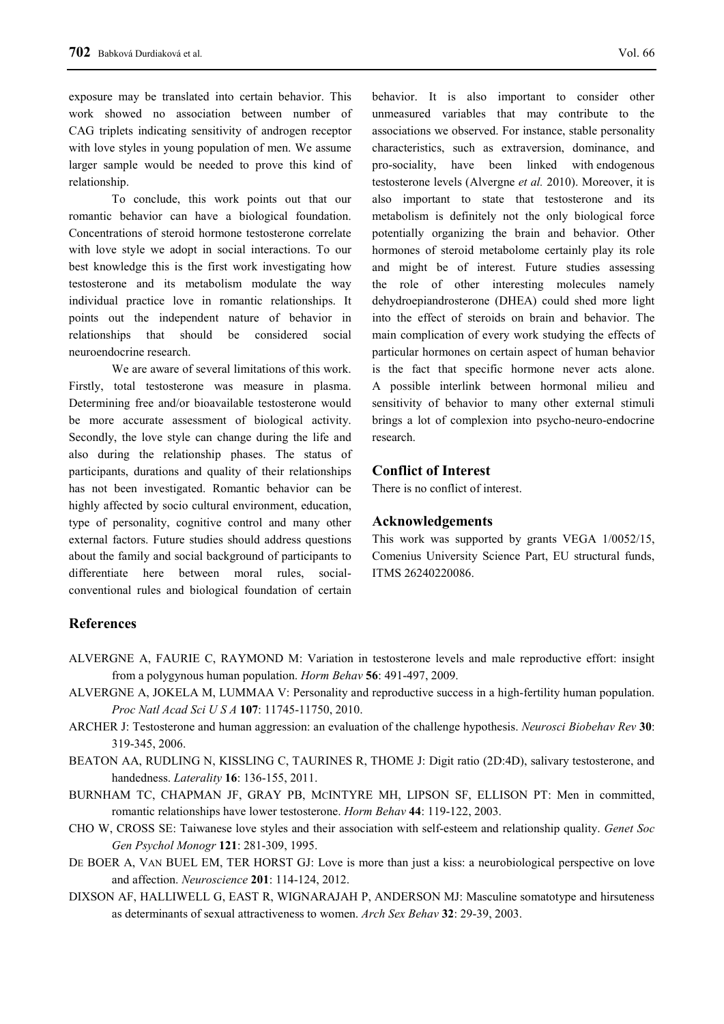exposure may be translated into certain behavior. This work showed no association between number of CAG triplets indicating sensitivity of androgen receptor with love styles in young population of men. We assume larger sample would be needed to prove this kind of relationship.

To conclude, this work points out that our romantic behavior can have a biological foundation. Concentrations of steroid hormone testosterone correlate with love style we adopt in social interactions. To our best knowledge this is the first work investigating how testosterone and its metabolism modulate the way individual practice love in romantic relationships. It points out the independent nature of behavior in relationships that should be considered social neuroendocrine research.

We are aware of several limitations of this work. Firstly, total testosterone was measure in plasma. Determining free and/or bioavailable testosterone would be more accurate assessment of biological activity. Secondly, the love style can change during the life and also during the relationship phases. The status of participants, durations and quality of their relationships has not been investigated. Romantic behavior can be highly affected by socio cultural environment, education, type of personality, cognitive control and many other external factors. Future studies should address questions about the family and social background of participants to differentiate here between moral rules, socialconventional rules and biological foundation of certain

behavior. It is also important to consider other unmeasured variables that may contribute to the associations we observed. For instance, stable personality characteristics, such as extraversion, dominance, and pro-sociality, have been linked with endogenous testosterone levels (Alvergne *et al.* 2010). Moreover, it is also important to state that testosterone and its metabolism is definitely not the only biological force potentially organizing the brain and behavior. Other hormones of steroid metabolome certainly play its role and might be of interest. Future studies assessing the role of other interesting molecules namely dehydroepiandrosterone (DHEA) could shed more light into the effect of steroids on brain and behavior. The main complication of every work studying the effects of particular hormones on certain aspect of human behavior is the fact that specific hormone never acts alone. A possible interlink between hormonal milieu and sensitivity of behavior to many other external stimuli brings a lot of complexion into psycho-neuro-endocrine research.

# **Conflict of Interest**

There is no conflict of interest.

#### **Acknowledgements**

This work was supported by grants VEGA 1/0052/15, Comenius University Science Part, EU structural funds, ITMS 26240220086.

# **References**

- ALVERGNE A, FAURIE C, RAYMOND M: Variation in testosterone levels and male reproductive effort: insight from a polygynous human population. *Horm Behav* **56**: 491-497, 2009.
- ALVERGNE A, JOKELA M, LUMMAA V: Personality and reproductive success in a high-fertility human population. *Proc Natl Acad Sci U S A* **107**: 11745-11750, 2010.
- ARCHER J: Testosterone and human aggression: an evaluation of the challenge hypothesis. *Neurosci Biobehav Rev* **30**: 319-345, 2006.
- BEATON AA, RUDLING N, KISSLING C, TAURINES R, THOME J: Digit ratio (2D:4D), salivary testosterone, and handedness. *Laterality* **16**: 136-155, 2011.
- BURNHAM TC, CHAPMAN JF, GRAY PB, MCINTYRE MH, LIPSON SF, ELLISON PT: Men in committed, romantic relationships have lower testosterone. *Horm Behav* **44**: 119-122, 2003.
- CHO W, CROSS SE: Taiwanese love styles and their association with self-esteem and relationship quality. *Genet Soc Gen Psychol Monogr* **121**: 281-309, 1995.
- DE BOER A, VAN BUEL EM, TER HORST GJ: Love is more than just a kiss: a neurobiological perspective on love and affection. *Neuroscience* **201**: 114-124, 2012.
- DIXSON AF, HALLIWELL G, EAST R, WIGNARAJAH P, ANDERSON MJ: Masculine somatotype and hirsuteness as determinants of sexual attractiveness to women. *Arch Sex Behav* **32**: 29-39, 2003.